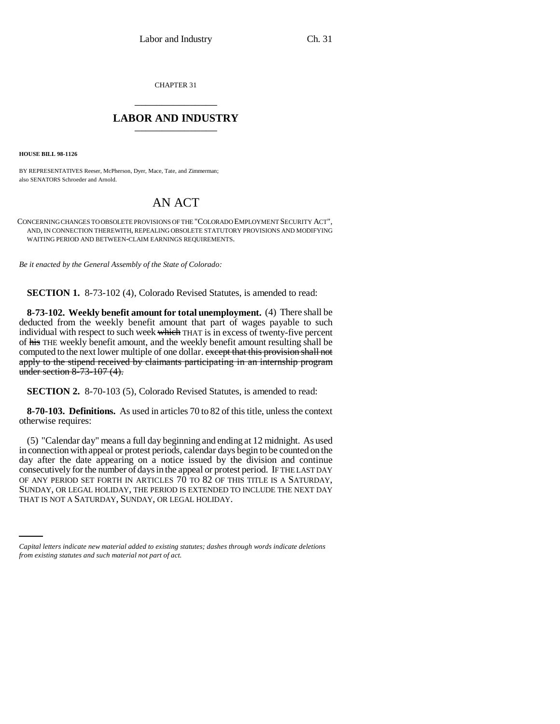CHAPTER 31 \_\_\_\_\_\_\_\_\_\_\_\_\_\_\_

## **LABOR AND INDUSTRY** \_\_\_\_\_\_\_\_\_\_\_\_\_\_\_

**HOUSE BILL 98-1126**

BY REPRESENTATIVES Reeser, McPherson, Dyer, Mace, Tate, and Zimmerman; also SENATORS Schroeder and Arnold.

## AN ACT

CONCERNING CHANGES TO OBSOLETE PROVISIONS OF THE "COLORADO EMPLOYMENT SECURITY ACT", AND, IN CONNECTION THEREWITH, REPEALING OBSOLETE STATUTORY PROVISIONS AND MODIFYING WAITING PERIOD AND BETWEEN-CLAIM EARNINGS REQUIREMENTS.

*Be it enacted by the General Assembly of the State of Colorado:*

**SECTION 1.** 8-73-102 (4), Colorado Revised Statutes, is amended to read:

**8-73-102. Weekly benefit amount for total unemployment.** (4) There shall be deducted from the weekly benefit amount that part of wages payable to such individual with respect to such week which THAT is in excess of twenty-five percent of his THE weekly benefit amount, and the weekly benefit amount resulting shall be computed to the next lower multiple of one dollar. except that this provision shall not apply to the stipend received by claimants participating in an internship program under section 8-73-107 (4).

**SECTION 2.** 8-70-103 (5), Colorado Revised Statutes, is amended to read:

**8-70-103. Definitions.** As used in articles 70 to 82 of this title, unless the context otherwise requires:

SUNDAY, OR LEGAL HOLIDAY, THE PERIOD IS EXTENDED TO INCLUDE THE NEXT DAY (5) "Calendar day" means a full day beginning and ending at 12 midnight. As used in connection with appeal or protest periods, calendar days begin to be counted on the day after the date appearing on a notice issued by the division and continue consecutively for the number of days in the appeal or protest period. IF THE LAST DAY OF ANY PERIOD SET FORTH IN ARTICLES 70 TO 82 OF THIS TITLE IS A SATURDAY, THAT IS NOT A SATURDAY, SUNDAY, OR LEGAL HOLIDAY.

*Capital letters indicate new material added to existing statutes; dashes through words indicate deletions from existing statutes and such material not part of act.*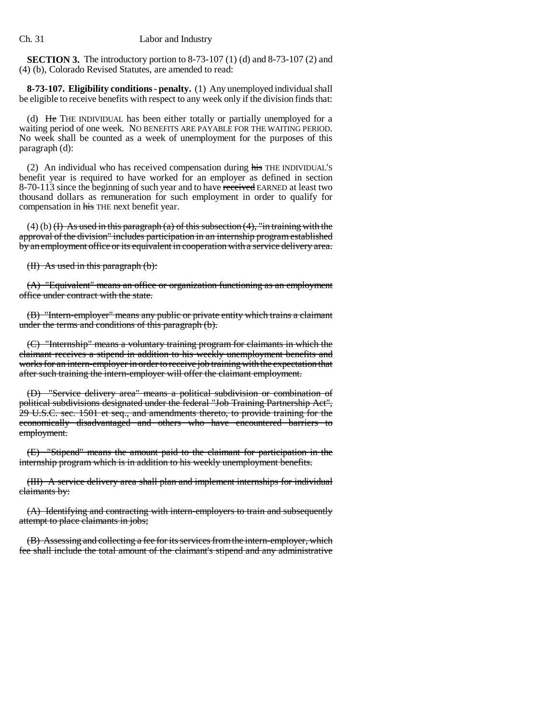**SECTION 3.** The introductory portion to 8-73-107 (1) (d) and 8-73-107 (2) and (4) (b), Colorado Revised Statutes, are amended to read:

**8-73-107. Eligibility conditions - penalty.** (1) Any unemployed individual shall be eligible to receive benefits with respect to any week only if the division finds that:

(d) He THE INDIVIDUAL has been either totally or partially unemployed for a waiting period of one week. NO BENEFITS ARE PAYABLE FOR THE WAITING PERIOD. No week shall be counted as a week of unemployment for the purposes of this paragraph (d):

(2) An individual who has received compensation during his THE INDIVIDUAL'S benefit year is required to have worked for an employer as defined in section 8-70-113 since the beginning of such year and to have received EARNED at least two thousand dollars as remuneration for such employment in order to qualify for compensation in his THE next benefit year.

 $(4)$  (b)  $(H)$  As used in this paragraph (a) of this subsection (4), "in training with the approval of the division" includes participation in an internship program established by an employment office or its equivalent in cooperation with a service delivery area.

(II) As used in this paragraph (b):

(A) "Equivalent" means an office or organization functioning as an employment office under contract with the state.

(B) "Intern-employer" means any public or private entity which trains a claimant under the terms and conditions of this paragraph (b).

(C) "Internship" means a voluntary training program for claimants in which the claimant receives a stipend in addition to his weekly unemployment benefits and works for an intern-employer in order to receive job training with the expectation that after such training the intern-employer will offer the claimant employment.

(D) "Service delivery area" means a political subdivision or combination of political subdivisions designated under the federal "Job Training Partnership Act", 29 U.S.C. sec. 1501 et seq., and amendments thereto, to provide training for the economically disadvantaged and others who have encountered barriers to employment.

(E) "Stipend" means the amount paid to the claimant for participation in the internship program which is in addition to his weekly unemployment benefits.

(III) A service delivery area shall plan and implement internships for individual claimants by:

(A) Identifying and contracting with intern-employers to train and subsequently attempt to place claimants in jobs;

(B) Assessing and collecting a fee for its services from the intern-employer, which fee shall include the total amount of the claimant's stipend and any administrative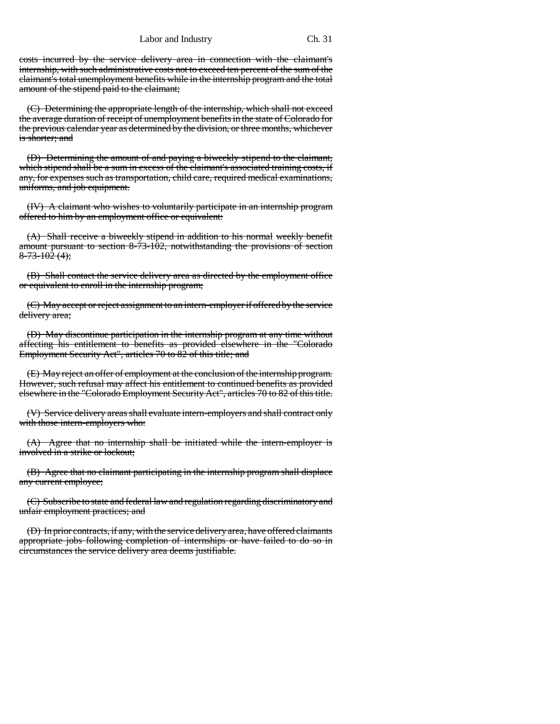Labor and Industry Ch. 31

costs incurred by the service delivery area in connection with the claimant's internship, with such administrative costs not to exceed ten percent of the sum of the claimant's total unemployment benefits while in the internship program and the total amount of the stipend paid to the claimant;

(C) Determining the appropriate length of the internship, which shall not exceed the average duration of receipt of unemployment benefits in the state of Colorado for the previous calendar year as determined by the division, or three months, whichever is shorter; and

(D) Determining the amount of and paying a biweekly stipend to the claimant, which stipend shall be a sum in excess of the claimant's associated training costs, if any, for expenses such as transportation, child care, required medical examinations, uniforms, and job equipment.

(IV) A claimant who wishes to voluntarily participate in an internship program offered to him by an employment office or equivalent:

(A) Shall receive a biweekly stipend in addition to his normal weekly benefit amount pursuant to section 8-73-102, notwithstanding the provisions of section  $8 - 73 - 102(4);$ 

(B) Shall contact the service delivery area as directed by the employment office or equivalent to enroll in the internship program;

(C) May accept or reject assignment to an intern-employer if offered by the service delivery area;

(D) May discontinue participation in the internship program at any time without affecting his entitlement to benefits as provided elsewhere in the "Colorado Employment Security Act", articles 70 to 82 of this title; and

(E) May reject an offer of employment at the conclusion of the internship program. However, such refusal may affect his entitlement to continued benefits as provided elsewhere in the "Colorado Employment Security Act", articles 70 to 82 of this title.

(V) Service delivery areas shall evaluate intern-employers and shall contract only with those intern-employers who:

(A) Agree that no internship shall be initiated while the intern-employer is involved in a strike or lockout;

(B) Agree that no claimant participating in the internship program shall displace any current employee;

(C) Subscribe to state and federal law and regulation regarding discriminatory and unfair employment practices; and

(D) In prior contracts, if any, with the service delivery area, have offered claimants appropriate jobs following completion of internships or have failed to do so in circumstances the service delivery area deems justifiable.